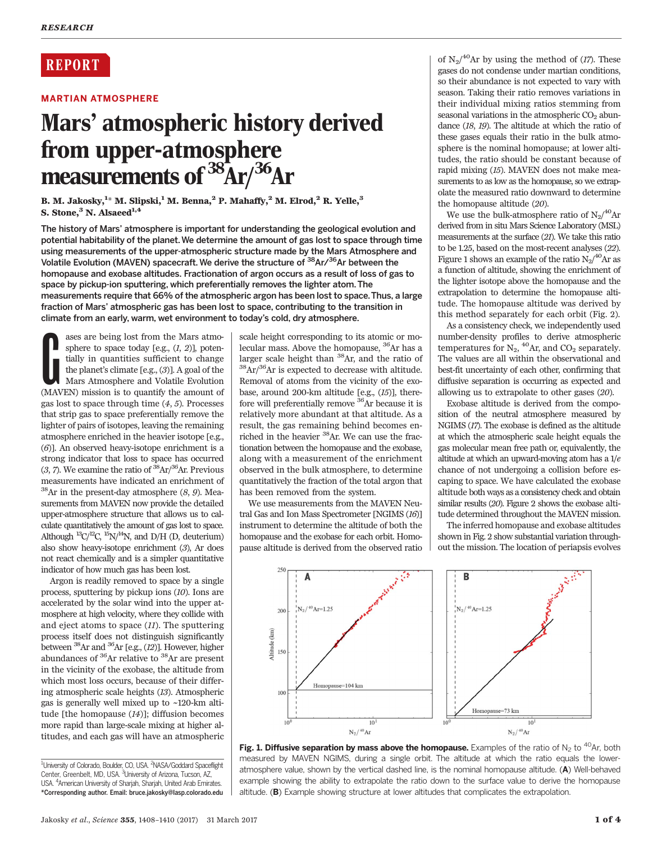# **REPORT**

# MARTIAN ATMOSPHERE

# Mars' atmospheric history derived from upper-atmosphere measurements of  $\frac{38}{3}$ Ar $\frac{36}{3}$ Ar

B. M. Jakosky, $^{1_\star}$  M. Slipski, $^1$  M. Benna, $^2$  P. Mahaffy, $^2$  M. Elrod, $^2$  R. Yelle, $^3$ S. Stone,<sup>3</sup> N. Alsaeed<sup>1,4</sup>

The history of Mars' atmosphere is important for understanding the geological evolution and potential habitability of the planet.We determine the amount of gas lost to space through time using measurements of the upper-atmospheric structure made by the Mars Atmosphere and Volatile Evolution (MAVEN) spacecraft. We derive the structure of <sup>38</sup>Ar/<sup>36</sup>Ar between the homopause and exobase altitudes. Fractionation of argon occurs as a result of loss of gas to space by pickup-ion sputtering, which preferentially removes the lighter atom. The measurements require that 66% of the atmospheric argon has been lost to space.Thus, a large fraction of Mars' atmospheric gas has been lost to space, contributing to the transition in climate from an early, warm, wet environment to today's cold, dry atmosphere.

ases are being lost from the Mars atmosphere to space today [e.g.,  $(I, 2)$ ], potentially in quantities sufficient to change the planet's climate [e.g.,  $(3)$ ]. A goal of the Mars Atmosphere and Volatile Evolution (MAVEN) ases are being lost from the Mars atmosphere to space today [e.g.,  $(1, 2)$ ], potentially in quantities sufficient to change the planet's climate [e.g., (3)]. A goal of the Mars Atmosphere and Volatile Evolution gas lost to space through time  $(4, 5)$ . Processes that strip gas to space preferentially remove the lighter of pairs of isotopes, leaving the remaining atmosphere enriched in the heavier isotope [e.g., (6)]. An observed heavy-isotope enrichment is a strong indicator that loss to space has occurred  $(3, 7)$ . We examine the ratio of  ${}^{38}Ar/{}^{36}Ar$ . Previous measurements have indicated an enrichment of  $38$ Ar in the present-day atmosphere  $(8, 9)$ . Measurements from MAVEN now provide the detailed upper-atmosphere structure that allows us to calculate quantitatively the amount of gas lost to space. Although  ${}^{13}C/{}^{12}C$ ,  ${}^{15}N/{}^{14}N$ , and D/H (D, deuterium) also show heavy-isotope enrichment (3), Ar does not react chemically and is a simpler quantitative indicator of how much gas has been lost.

Argon is readily removed to space by a single process, sputtering by pickup ions (10). Ions are accelerated by the solar wind into the upper atmosphere at high velocity, where they collide with and eject atoms to space (11). The sputtering process itself does not distinguish significantly between 38Ar and 36Ar [e.g., (12)]. However, higher abundances of 36Ar relative to 38Ar are present in the vicinity of the exobase, the altitude from which most loss occurs, because of their differing atmospheric scale heights (13). Atmospheric gas is generally well mixed up to ~120-km altitude [the homopause (14)]; diffusion becomes more rapid than large-scale mixing at higher altitudes, and each gas will have an atmospheric

scale height corresponding to its atomic or molecular mass. Above the homopause,  ${}^{36}$ Ar has a larger scale height than  ${}^{38}$ Ar, and the ratio of  $\rm{^{38}Ar/^{36}Ar}$  is expected to decrease with altitude. Removal of atoms from the vicinity of the exobase, around 200-km altitude [e.g., (15)], therefore will preferentially remove 36Ar because it is relatively more abundant at that altitude. As a result, the gas remaining behind becomes enriched in the heavier <sup>38</sup>Ar. We can use the fractionation between the homopause and the exobase, along with a measurement of the enrichment observed in the bulk atmosphere, to determine quantitatively the fraction of the total argon that has been removed from the system.

We use measurements from the MAVEN Neutral Gas and Ion Mass Spectrometer [NGIMS (16)] instrument to determine the altitude of both the homopause and the exobase for each orbit. Homopause altitude is derived from the observed ratio

of  $N_2/^{40}$ Ar by using the method of (17). These gases do not condense under martian conditions, so their abundance is not expected to vary with season. Taking their ratio removes variations in their individual mixing ratios stemming from seasonal variations in the atmospheric  $CO<sub>2</sub>$  abundance (18, 19). The altitude at which the ratio of these gases equals their ratio in the bulk atmosphere is the nominal homopause; at lower altitudes, the ratio should be constant because of rapid mixing (15). MAVEN does not make measurements to as low as the homopause, so we extrapolate the measured ratio downward to determine the homopause altitude (20).

We use the bulk-atmosphere ratio of  $N_2/^{40}$ Ar derived from in situ Mars Science Laboratory (MSL) measurements at the surface (21). We take this ratio to be 1.25, based on the most-recent analyses (22). Figure 1 shows an example of the ratio  $\rm N_2/^{40}\rm Ar$  as a function of altitude, showing the enrichment of the lighter isotope above the homopause and the extrapolation to determine the homopause altitude. The homopause altitude was derived by this method separately for each orbit (Fig. 2).

As a consistency check, we independently used number-density profiles to derive atmospheric temperatures for  $N_2$ , <sup>40</sup>Ar, and CO<sub>2</sub> separately. The values are all within the observational and best-fit uncertainty of each other, confirming that diffusive separation is occurring as expected and allowing us to extrapolate to other gases (20).

Exobase altitude is derived from the composition of the neutral atmosphere measured by NGIMS (17). The exobase is defined as the altitude at which the atmospheric scale height equals the gas molecular mean free path or, equivalently, the altitude at which an upward-moving atom has a 1/e chance of not undergoing a collision before escaping to space. We have calculated the exobase altitude both ways as a consistency check and obtain similar results (20). Figure 2 shows the exobase altitude determined throughout the MAVEN mission.

The inferred homopause and exobase altitudes shown in Fig. 2 show substantial variation throughout the mission. The location of periapsis evolves



Fig. 1. Diffusive separation by mass above the homopause. Examples of the ratio of N<sub>2</sub> to <sup>40</sup>Ar, both measured by MAVEN NGIMS, during a single orbit. The altitude at which the ratio equals the loweratmosphere value, shown by the vertical dashed line, is the nominal homopause altitude. (A) Well-behaved example showing the ability to extrapolate the ratio down to the surface value to derive the homopause altitude. (B) Example showing structure at lower altitudes that complicates the extrapolation.

<sup>&</sup>lt;sup>1</sup>University of Colorado, Boulder, CO, USA. <sup>2</sup>NASA/Goddard Spaceflight Center, Greenbelt, MD, USA. <sup>3</sup>University of Arizona, Tucson, AZ, USA. <sup>4</sup>American University of Sharjah, Sharjah, United Arab Emirates. \*Corresponding author. Email: bruce.jakosky@lasp.colorado.edu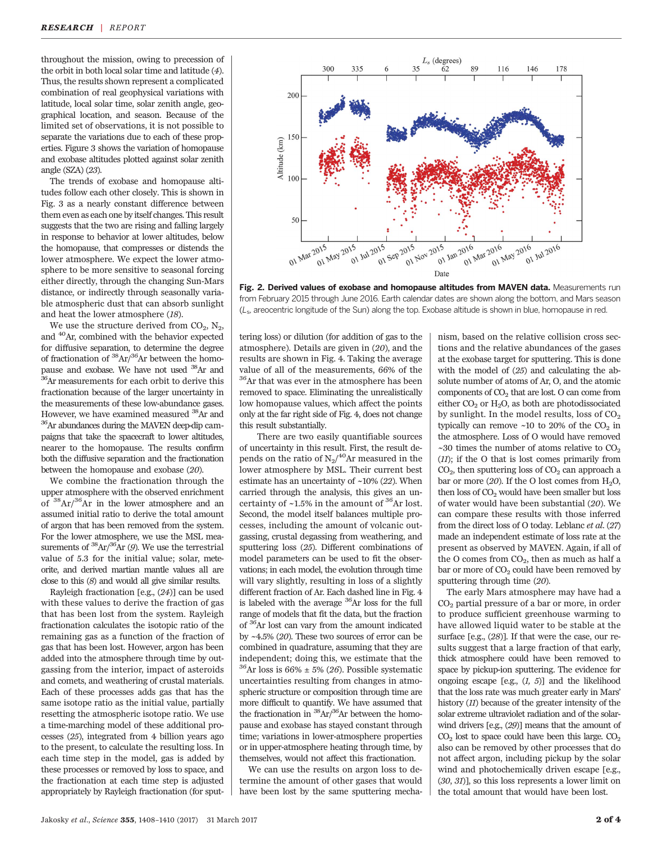throughout the mission, owing to precession of the orbit in both local solar time and latitude (4). Thus, the results shown represent a complicated combination of real geophysical variations with latitude, local solar time, solar zenith angle, geographical location, and season. Because of the limited set of observations, it is not possible to separate the variations due to each of these properties. Figure 3 shows the variation of homopause and exobase altitudes plotted against solar zenith angle (SZA) (23).

The trends of exobase and homopause altitudes follow each other closely. This is shown in Fig. 3 as a nearly constant difference between them even as each one by itself changes. This result suggests that the two are rising and falling largely in response to behavior at lower altitudes, below the homopause, that compresses or distends the lower atmosphere. We expect the lower atmosphere to be more sensitive to seasonal forcing either directly, through the changing Sun-Mars distance, or indirectly through seasonally variable atmospheric dust that can absorb sunlight and heat the lower atmosphere (18).

We use the structure derived from  $CO<sub>2</sub>$ , N<sub>2</sub>, and 40Ar, combined with the behavior expected for diffusive separation, to determine the degree of fractionation of  ${}^{38}Ar/{}^{36}Ar$  between the homo-<br>pause and exobase. We have not used  ${}^{38}Ar$  and  $36$ Ar measurements for each orbit to derive this fractionation because of the larger uncertainty in the measurements of these low-abundance gases. However, we have examined measured  ${}^{38}\text{Ar}$  and  ${}^{36}\text{Ar}$  abundances during the MAVEN deep-dip campaigns that take the spacecraft to lower altitudes, nearer to the homopause. The results confirm both the diffusive separation and the fractionation between the homopause and exobase (20).

We combine the fractionation through the upper atmosphere with the observed enrichment of 38Ar/36Ar in the lower atmosphere and an assumed initial ratio to derive the total amount of argon that has been removed from the system. For the lower atmosphere, we use the MSL measurements of  ${}^{38}Ar/{}^{36}Ar$  (9). We use the terrestrial value of 5.3 for the initial value; solar, meteorite, and derived martian mantle values all are close to this (8) and would all give similar results.

Rayleigh fractionation [e.g., (24)] can be used with these values to derive the fraction of gas that has been lost from the system. Rayleigh fractionation calculates the isotopic ratio of the remaining gas as a function of the fraction of gas that has been lost. However, argon has been added into the atmosphere through time by outgassing from the interior, impact of asteroids and comets, and weathering of crustal materials. Each of these processes adds gas that has the same isotope ratio as the initial value, partially resetting the atmospheric isotope ratio. We use a time-marching model of these additional processes (25), integrated from 4 billion years ago to the present, to calculate the resulting loss. In each time step in the model, gas is added by these processes or removed by loss to space, and the fractionation at each time step is adjusted appropriately by Rayleigh fractionation (for sput-



Fig. 2. Derived values of exobase and homopause altitudes from MAVEN data. Measurements run from February 2015 through June 2016. Earth calendar dates are shown along the bottom, and Mars season (Ls, areocentric longitude of the Sun) along the top. Exobase altitude is shown in blue, homopause in red.

tering loss) or dilution (for addition of gas to the atmosphere). Details are given in (20), and the results are shown in Fig. 4. Taking the average value of all of the measurements, 66% of the 36Ar that was ever in the atmosphere has been removed to space. Eliminating the unrealistically low homopause values, which affect the points only at the far right side of Fig. 4, does not change this result substantially.

There are two easily quantifiable sources of uncertainty in this result. First, the result depends on the ratio of  $\rm N_2/^{40}Ar$  measured in the lower atmosphere by MSL. Their current best estimate has an uncertainty of ~10% (22). When carried through the analysis, this gives an uncertainty of  $~1.5\%$  in the amount of  $^{36}\text{Ar}$  lost. Second, the model itself balances multiple processes, including the amount of volcanic outgassing, crustal degassing from weathering, and sputtering loss (25). Different combinations of model parameters can be used to fit the observations; in each model, the evolution through time will vary slightly, resulting in loss of a slightly different fraction of Ar. Each dashed line in Fig. 4 is labeled with the average  ${}^{36}Ar$  loss for the full range of models that fit the data, but the fraction of 36Ar lost can vary from the amount indicated by ~4.5% (20). These two sources of error can be combined in quadrature, assuming that they are independent; doing this, we estimate that the <sup>36</sup>Ar loss is 66%  $\pm$  5% (26). Possible systematic uncertainties resulting from changes in atmospheric structure or composition through time are more difficult to quantify. We have assumed that the fractionation in  ${}^{38}Ar/{}^{36}Ar$  between the homopause and exobase has stayed constant through time; variations in lower-atmosphere properties or in upper-atmosphere heating through time, by themselves, would not affect this fractionation.

We can use the results on argon loss to determine the amount of other gases that would have been lost by the same sputtering mechanism, based on the relative collision cross sections and the relative abundances of the gases at the exobase target for sputtering. This is done with the model of (25) and calculating the absolute number of atoms of Ar, O, and the atomic components of  $CO<sub>2</sub>$  that are lost. O can come from either  $CO<sub>2</sub>$  or  $H<sub>2</sub>O$ , as both are photodissociated by sunlight. In the model results, loss of  $CO<sub>2</sub>$ typically can remove  $\sim$ 10 to 20% of the CO<sub>2</sub> in the atmosphere. Loss of O would have removed  $\sim$ 30 times the number of atoms relative to CO<sub>2</sub> (11); if the O that is lost comes primarily from  $CO<sub>2</sub>$ , then sputtering loss of  $CO<sub>2</sub>$  can approach a bar or more (20). If the O lost comes from  $H_2O$ , then loss of  $CO<sub>2</sub>$  would have been smaller but loss of water would have been substantial (20). We can compare these results with those inferred from the direct loss of O today. Leblanc et al. (27) made an independent estimate of loss rate at the present as observed by MAVEN. Again, if all of the O comes from  $CO<sub>2</sub>$ , then as much as half a bar or more of  $CO<sub>2</sub>$  could have been removed by sputtering through time (20).

The early Mars atmosphere may have had a  $CO<sub>2</sub>$  partial pressure of a bar or more, in order to produce sufficient greenhouse warming to have allowed liquid water to be stable at the surface [e.g., (28)]. If that were the case, our results suggest that a large fraction of that early, thick atmosphere could have been removed to space by pickup-ion sputtering. The evidence for ongoing escape  $[e.g., (1, 5)]$  and the likelihood that the loss rate was much greater early in Mars' history (11) because of the greater intensity of the solar extreme ultraviolet radiation and of the solarwind drivers [e.g., (29)] means that the amount of  $CO<sub>2</sub>$  lost to space could have been this large.  $CO<sub>2</sub>$ also can be removed by other processes that do not affect argon, including pickup by the solar wind and photochemically driven escape [e.g., (30, 31)], so this loss represents a lower limit on the total amount that would have been lost.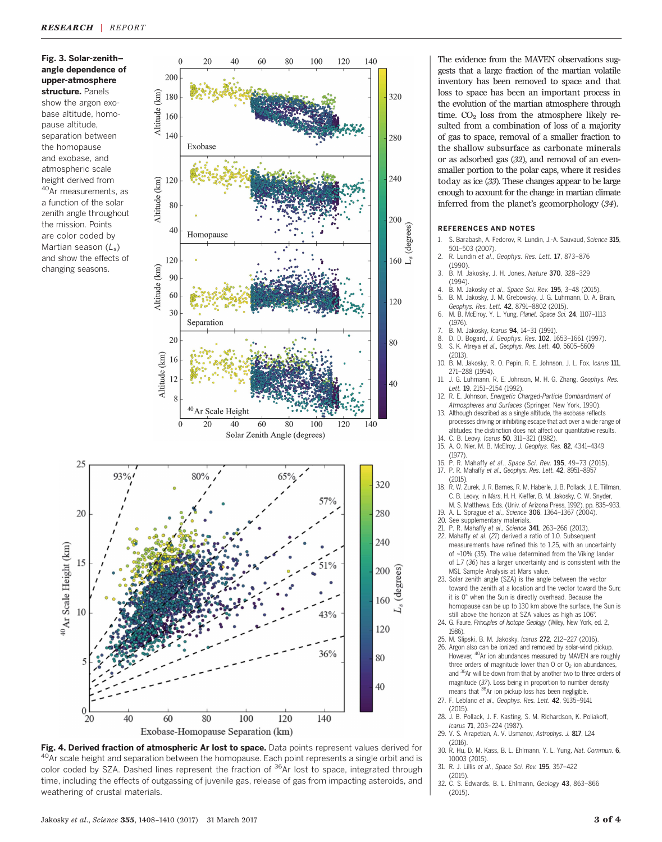# Fig. 3. Solar-zenith– angle dependence of upper-atmosphere structure. Panels

show the argon exobase altitude, homopause altitude, separation between the homopause and exobase, and atmospheric scale height derived from 40<sub>Ar</sub> measurements, as a function of the solar zenith angle throughout the mission. Points are color coded by Martian season  $(L_s)$ and show the effects of changing seasons.

25

20

15

10

 $\mathbf{0}$ 

 $^{40}$  Ar Scale Height (km)





The evidence from the MAVEN observations suggests that a large fraction of the martian volatile inventory has been removed to space and that loss to space has been an important process in the evolution of the martian atmosphere through time.  $CO<sub>2</sub>$  loss from the atmosphere likely resulted from a combination of loss of a majority of gas to space, removal of a smaller fraction to the shallow subsurface as carbonate minerals or as adsorbed gas (32), and removal of an evensmaller portion to the polar caps, where it resides today as ice (33). These changes appear to be large enough to account for the change in martian climate inferred from the planet's geomorphology (34).

#### REFERENCES AND NOTES

- S. Barabash, A. Fedorov, R. Lundin, J.-A. Sauvaud, Science 315, 501–503 (2007).
- 2. R. Lundin et al., Geophys. Res. Lett. 17, 873–876 (1990).
- 3. B. M. Jakosky, J. H. Jones, Nature 370, 328–329 (1994).
- B. M. Jakosky et al., Space Sci. Rev. 195, 3-48 (2015).
- 5. B. M. Jakosky, J. M. Grebowsky, J. G. Luhmann, D. A. Brain, Geophys. Res. Lett. 42, 8791–8802 (2015).
- 6. M. B. McElroy, Y. L. Yung, Planet. Space Sci. 24, 1107–1113 (1976).
- 7. B. M. Jakosky, Icarus 94, 14-31 (1991).<br>8. D. D. Bogard, J. Geophys. Res. 102, 1
- 8. D. D. Bogard, J. Geophys. Res. 102, 1653–1661 (1997).<br>9. S. K. Atreva et al., Geophys. Res. 1ett. 40, 5605–5609
- S. K. Atreya et al., Geophys. Res. Lett. 40, 5605-5609
- (2013). 10. B. M. Jakosky, R. O. Pepin, R. E. Johnson, J. L. Fox, Icarus 111,
- 271–288 (1994). 11. J. G. Luhmann, R. E. Johnson, M. H. G. Zhang, Geophys. Res.
- Lett. **19**, 2151-2154 (1992).
- 12. R. E. Johnson, Energetic Charged-Particle Bombardment of Atmospheres and Surfaces (Springer, New York, 1990).
- 13. Although described as a single altitude, the exobase reflects processes driving or inhibiting escape that act over a wide range of altitudes; the distinction does not affect our quantitative results.
- 14. C. B. Leovy, *Icarus* **50**, 311–321 (1982).<br>15. A. O. Nier, M. B. McElroy, *J. Geophys. Res.* **82**, 4341–4349
- (1977). 16. P. R. Mahaffy et al., Space Sci. Rev. 195, 49–73 (2015).
- 17. P. R. Mahaffy et al., Geophys. Res. Lett. 42, 8951–8957
- (2015). 18. R. W. Zurek, J. R. Barnes, R. M. Haberle, J. B. Pollack, J. E. Tillman, C. B. Leovy, in Mars, H. H. Kieffer, B. M. Jakosky, C. W. Snyder,
- M. S. Matthews, Eds. (Univ. of Arizona Press, 1992), pp. 835–933. 19. A. L. Sprague et al., Science 306, 1364–1367 (2004).
- 
- 20. See supplementary materials.<br>21. P. R. Mahaffy e*t al., Science* **341**, 263–266 (2013).
- 22. Mahaffy et al. (21) derived a ratio of 1.0. Subsequent measurements have refined this to 1.25, with an uncertainty of ~10% (35). The value determined from the Viking lander of 1.7 (36) has a larger uncertainty and is consistent with the MSL Sample Analysis at Mars value.
- 23. Solar zenith angle (SZA) is the angle between the vector toward the zenith at a location and the vector toward the Sun; it is 0° when the Sun is directly overhead. Because the homopause can be up to 130 km above the surface, the Sun is still above the horizon at SZA values as high as 106°.
- 24. G. Faure, Principles of Isotope Geology (Wiley, New York, ed. 2, 1986).
- 25. M. Slipski, B. M. Jakosky, Icarus 272, 212–227 (2016).
- 26. Argon also can be ionized and removed by solar-wind pickup. However, <sup>40</sup>Ar ion abundances measured by MAVEN are roughly three orders of magnitude lower than  $O$  or  $O<sub>2</sub>$  ion abundances, and 36Ar will be down from that by another two to three orders of magnitude (37). Loss being in proportion to number density means that <sup>36</sup>Ar ion pickup loss has been negligible
- 27. F. Leblanc et al., Geophys. Res. Lett. 42, 9135–9141  $(2015)$
- 28. J. B. Pollack, J. F. Kasting, S. M. Richardson, K. Poliakoff,
- Icarus **71**, 203–224 (1987).<br>29. V. S. Airapetian, A. V. Usmanov, Astrophys. J. **817**, L24 (2016).
- 30. R. Hu, D. M. Kass, B. L. Ehlmann, Y. L. Yung, Nat. Commun. 6,
- 10003 (2015). 31. R. J. Lillis et al., Space Sci. Rev. 195, 357–422
- (2015). 32. C. S. Edwards, B. L. Ehlmann, Geology 43, 863–866 (2015).